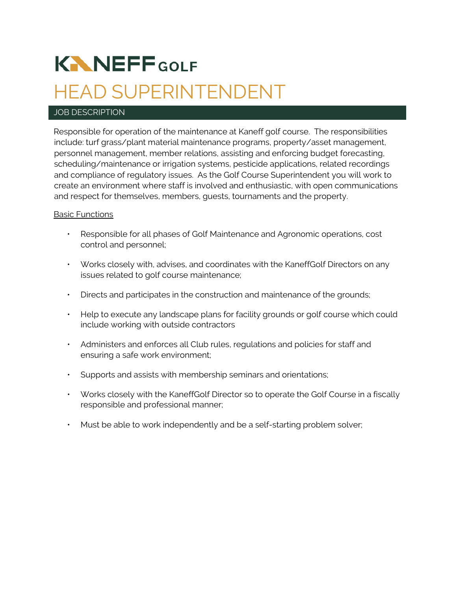# **KNNEFFGOLF** HEAD SUPERINTENDENT

## JOB DESCRIPTION

Responsible for operation of the maintenance at Kaneff golf course. The responsibilities include: turf grass/plant material maintenance programs, property/asset management, personnel management, member relations, assisting and enforcing budget forecasting, scheduling/maintenance or irrigation systems, pesticide applications, related recordings and compliance of regulatory issues. As the Golf Course Superintendent you will work to create an environment where staff is involved and enthusiastic, with open communications and respect for themselves, members, guests, tournaments and the property.

## Basic Functions

- Responsible for all phases of Golf Maintenance and Agronomic operations, cost control and personnel;
- Works closely with, advises, and coordinates with the KaneffGolf Directors on any issues related to golf course maintenance;
- Directs and participates in the construction and maintenance of the grounds;
- Help to execute any landscape plans for facility grounds or golf course which could include working with outside contractors
- Administers and enforces all Club rules, regulations and policies for staff and ensuring a safe work environment;
- Supports and assists with membership seminars and orientations;
- Works closely with the KaneffGolf Director so to operate the Golf Course in a fiscally responsible and professional manner;
- Must be able to work independently and be a self-starting problem solver;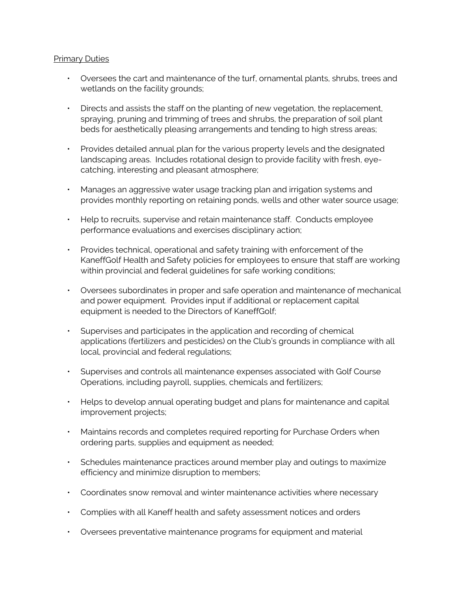### Primary Duties

- Oversees the cart and maintenance of the turf, ornamental plants, shrubs, trees and wetlands on the facility grounds;
- Directs and assists the staff on the planting of new vegetation, the replacement, spraying, pruning and trimming of trees and shrubs, the preparation of soil plant beds for aesthetically pleasing arrangements and tending to high stress areas;
- Provides detailed annual plan for the various property levels and the designated landscaping areas. Includes rotational design to provide facility with fresh, eyecatching, interesting and pleasant atmosphere;
- Manages an aggressive water usage tracking plan and irrigation systems and provides monthly reporting on retaining ponds, wells and other water source usage;
- Help to recruits, supervise and retain maintenance staff. Conducts employee performance evaluations and exercises disciplinary action;
- Provides technical, operational and safety training with enforcement of the KaneffGolf Health and Safety policies for employees to ensure that staff are working within provincial and federal guidelines for safe working conditions;
- Oversees subordinates in proper and safe operation and maintenance of mechanical and power equipment. Provides input if additional or replacement capital equipment is needed to the Directors of KaneffGolf;
- Supervises and participates in the application and recording of chemical applications (fertilizers and pesticides) on the Club's grounds in compliance with all local, provincial and federal regulations;
- Supervises and controls all maintenance expenses associated with Golf Course Operations, including payroll, supplies, chemicals and fertilizers;
- Helps to develop annual operating budget and plans for maintenance and capital improvement projects;
- Maintains records and completes required reporting for Purchase Orders when ordering parts, supplies and equipment as needed;
- Schedules maintenance practices around member play and outings to maximize efficiency and minimize disruption to members;
- Coordinates snow removal and winter maintenance activities where necessary
- Complies with all Kaneff health and safety assessment notices and orders
- Oversees preventative maintenance programs for equipment and material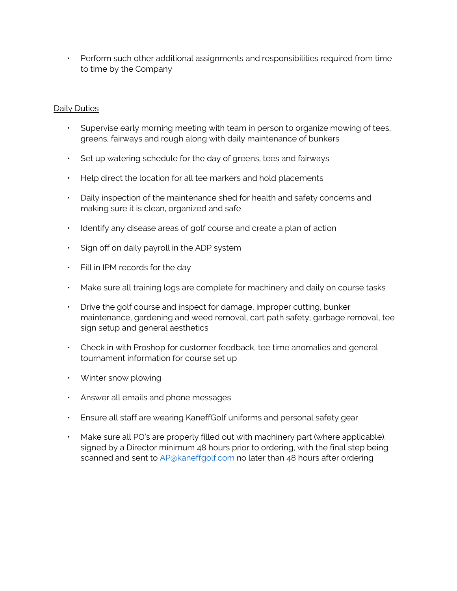• Perform such other additional assignments and responsibilities required from time to time by the Company

## Daily Duties

- Supervise early morning meeting with team in person to organize mowing of tees, greens, fairways and rough along with daily maintenance of bunkers
- Set up watering schedule for the day of greens, tees and fairways
- Help direct the location for all tee markers and hold placements
- Daily inspection of the maintenance shed for health and safety concerns and making sure it is clean, organized and safe
- Identify any disease areas of golf course and create a plan of action
- Sign off on daily payroll in the ADP system
- Fill in IPM records for the day
- Make sure all training logs are complete for machinery and daily on course tasks
- Drive the golf course and inspect for damage, improper cutting, bunker maintenance, gardening and weed removal, cart path safety, garbage removal, tee sign setup and general aesthetics
- Check in with Proshop for customer feedback, tee time anomalies and general tournament information for course set up
- Winter snow plowing
- Answer all emails and phone messages
- Ensure all staff are wearing KaneffGolf uniforms and personal safety gear
- Make sure all PO's are properly filled out with machinery part (where applicable), signed by a Director minimum 48 hours prior to ordering, with the final step being scanned and sent to [AP@kaneffgolf.com](mailto:AP@kaneffgolf.com) no later than 48 hours after ordering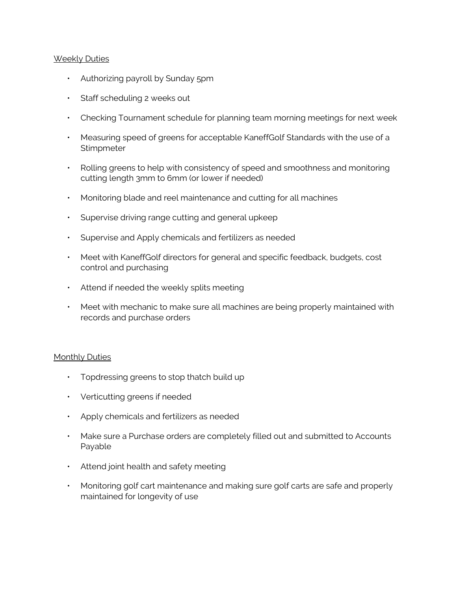### Weekly Duties

- Authorizing payroll by Sunday 5pm
- Staff scheduling 2 weeks out
- Checking Tournament schedule for planning team morning meetings for next week
- Measuring speed of greens for acceptable KaneffGolf Standards with the use of a **Stimpmeter**
- Rolling greens to help with consistency of speed and smoothness and monitoring cutting length 3mm to 6mm (or lower if needed)
- Monitoring blade and reel maintenance and cutting for all machines
- Supervise driving range cutting and general upkeep
- Supervise and Apply chemicals and fertilizers as needed
- Meet with KaneffGolf directors for general and specific feedback, budgets, cost control and purchasing
- Attend if needed the weekly splits meeting
- Meet with mechanic to make sure all machines are being properly maintained with records and purchase orders

#### Monthly Duties

- Topdressing greens to stop thatch build up
- Verticutting greens if needed
- Apply chemicals and fertilizers as needed
- Make sure a Purchase orders are completely filled out and submitted to Accounts Payable
- Attend joint health and safety meeting
- Monitoring golf cart maintenance and making sure golf carts are safe and properly maintained for longevity of use